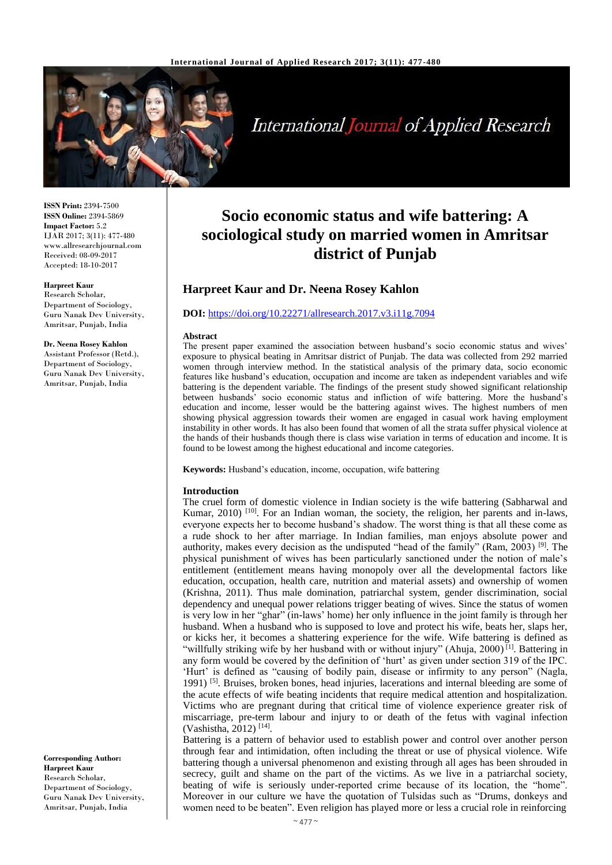

**International Journal of Applied Research** 

**ISSN Print:** 2394-7500 **ISSN Online:** 2394-5869 **Impact Factor:** 5.2 IJAR 2017; 3(11): 477-480 www.allresearchjournal.com Received: 08-09-2017 Accepted: 18-10-2017

### **Harpreet Kaur**

Research Scholar, Department of Sociology, Guru Nanak Dev University, Amritsar, Punjab, India

## **Dr. Neena Rosey Kahlon**

Assistant Professor (Retd.), Department of Sociology, Guru Nanak Dev University, Amritsar, Punjab, India

#### **Corresponding Author: Harpreet Kaur** Research Scholar, Department of Sociology, Guru Nanak Dev University, Amritsar, Punjab, India

# **Socio economic status and wife battering: A sociological study on married women in Amritsar district of Punjab**

## **Harpreet Kaur and Dr. Neena Rosey Kahlon**

## **DOI:** <https://doi.org/10.22271/allresearch.2017.v3.i11g.7094>

#### **Abstract**

The present paper examined the association between husband's socio economic status and wives' exposure to physical beating in Amritsar district of Punjab. The data was collected from 292 married women through interview method. In the statistical analysis of the primary data, socio economic features like husband's education, occupation and income are taken as independent variables and wife battering is the dependent variable. The findings of the present study showed significant relationship between husbands' socio economic status and infliction of wife battering. More the husband's education and income, lesser would be the battering against wives. The highest numbers of men showing physical aggression towards their women are engaged in casual work having employment instability in other words. It has also been found that women of all the strata suffer physical violence at the hands of their husbands though there is class wise variation in terms of education and income. It is found to be lowest among the highest educational and income categories.

**Keywords:** Husband's education, income, occupation, wife battering

## **Introduction**

The cruel form of domestic violence in Indian society is the wife battering (Sabharwal and Kumar, 2010)<sup>[10]</sup>. For an Indian woman, the society, the religion, her parents and in-laws, everyone expects her to become husband's shadow. The worst thing is that all these come as a rude shock to her after marriage. In Indian families, man enjoys absolute power and authority, makes every decision as the undisputed "head of the family" (Ram, 2003) <sup>[9]</sup>. The physical punishment of wives has been particularly sanctioned under the notion of male's entitlement (entitlement means having monopoly over all the developmental factors like education, occupation, health care, nutrition and material assets) and ownership of women (Krishna, 2011). Thus male domination, patriarchal system, gender discrimination, social dependency and unequal power relations trigger beating of wives. Since the status of women is very low in her "ghar" (in-laws' home) her only influence in the joint family is through her husband. When a husband who is supposed to love and protect his wife, beats her, slaps her, or kicks her, it becomes a shattering experience for the wife. Wife battering is defined as "willfully striking wife by her husband with or without injury" (Ahuja, 2000)<sup>[1]</sup>. Battering in any form would be covered by the definition of 'hurt' as given under section 319 of the IPC. 'Hurt' is defined as "causing of bodily pain, disease or infirmity to any person" (Nagla, 1991)  $[5]$ . Bruises, broken bones, head injuries, lacerations and internal bleeding are some of the acute effects of wife beating incidents that require medical attention and hospitalization. Victims who are pregnant during that critical time of violence experience greater risk of miscarriage, pre-term labour and injury to or death of the fetus with vaginal infection (Vashistha, 2012)<sup>[14]</sup>.

Battering is a pattern of behavior used to establish power and control over another person through fear and intimidation, often including the threat or use of physical violence. Wife battering though a universal phenomenon and existing through all ages has been shrouded in secrecy, guilt and shame on the part of the victims. As we live in a patriarchal society, beating of wife is seriously under-reported crime because of its location, the "home". Moreover in our culture we have the quotation of Tulsidas such as "Drums, donkeys and women need to be beaten". Even religion has played more or less a crucial role in reinforcing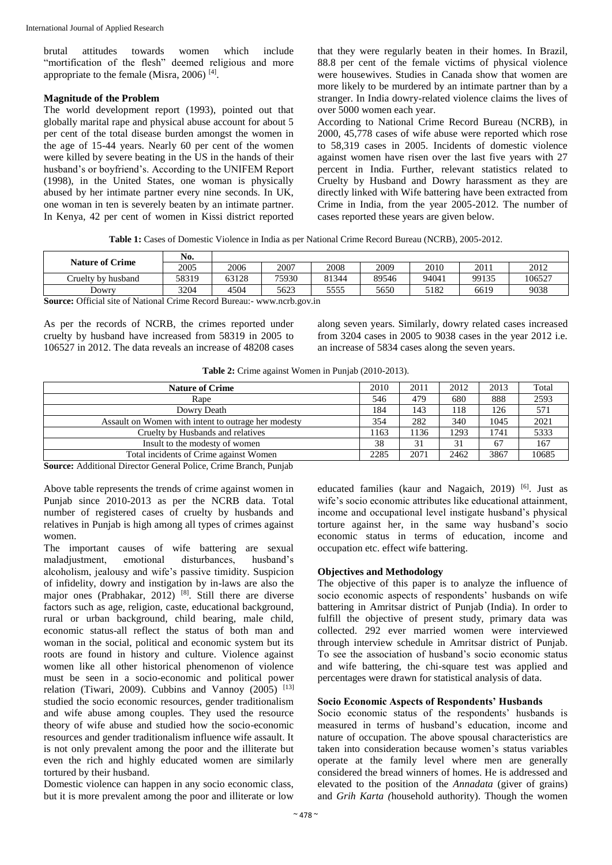brutal attitudes towards women which include "mortification of the flesh" deemed religious and more appropriate to the female (Misra, 2006)<sup>[4]</sup>.

## **Magnitude of the Problem**

The world development report (1993), pointed out that globally marital rape and physical abuse account for about 5 per cent of the total disease burden amongst the women in the age of 15-44 years. Nearly 60 per cent of the women were killed by severe beating in the US in the hands of their husband's or boyfriend's. According to the UNIFEM Report (1998), in the United States, one woman is physically abused by her intimate partner every nine seconds. In UK, one woman in ten is severely beaten by an intimate partner. In Kenya, 42 per cent of women in Kissi district reported

that they were regularly beaten in their homes. In Brazil, 88.8 per cent of the female victims of physical violence were housewives. Studies in Canada show that women are more likely to be murdered by an intimate partner than by a stranger. In India dowry-related violence claims the lives of over 5000 women each year.

According to National Crime Record Bureau (NCRB), in 2000, 45,778 cases of wife abuse were reported which rose to 58,319 cases in 2005. Incidents of domestic violence against women have risen over the last five years with 27 percent in India. Further, relevant statistics related to Cruelty by Husband and Dowry harassment as they are directly linked with Wife battering have been extracted from Crime in India, from the year 2005-2012. The number of cases reported these years are given below.

**Table 1:** Cases of Domestic Violence in India as per National Crime Record Bureau (NCRB), 2005-2012.

| No.   |       |       |       |       |       |       |        |
|-------|-------|-------|-------|-------|-------|-------|--------|
| 2005  | 2006  | 2007  | 2008  | 2009  | 2010  | 2011  | 2012   |
| 58319 | 63128 | 75930 | 81344 | 89546 | 94041 | 99135 | 106527 |
| 3204  | 4504  | 5623  | 5555  | 5650  | 5182  | 6619  | 9038   |
|       |       |       |       |       |       |       |        |

**Source:** Official site of National Crime Record Bureau:- www.ncrb.gov.in

As per the records of NCRB, the crimes reported under cruelty by husband have increased from 58319 in 2005 to 106527 in 2012. The data reveals an increase of 48208 cases along seven years. Similarly, dowry related cases increased from 3204 cases in 2005 to 9038 cases in the year 2012 i.e. an increase of 5834 cases along the seven years.

|  |  | Table 2: Crime against Women in Punjab (2010-2013). |  |  |  |
|--|--|-----------------------------------------------------|--|--|--|
|--|--|-----------------------------------------------------|--|--|--|

| <b>Nature of Crime</b>                              | 2010 | 2011 | 2012 | 2013 | Total |
|-----------------------------------------------------|------|------|------|------|-------|
| Rape                                                | 546  | 479  | 680  | 888  | 2593  |
| Dowry Death                                         | 184  | 143  | 118  | 126  | 571   |
| Assault on Women with intent to outrage her modesty | 354  | 282  | 340  | 1045 | 2021  |
| Cruelty by Husbands and relatives                   | 1163 | 136  | 1293 | 1741 | 5333  |
| Insult to the modesty of women                      | 38   | 31   | 31   | 67   | 167   |
| Total incidents of Crime against Women              | 2285 | 2071 | 2462 | 3867 | 10685 |

**Source:** Additional Director General Police, Crime Branch, Punjab

Above table represents the trends of crime against women in Punjab since 2010-2013 as per the NCRB data. Total number of registered cases of cruelty by husbands and relatives in Punjab is high among all types of crimes against women.

The important causes of wife battering are sexual maladjustment, emotional disturbances, husband's alcoholism, jealousy and wife's passive timidity. Suspicion of infidelity, dowry and instigation by in-laws are also the major ones (Prabhakar, 2012) [8]. Still there are diverse factors such as age, religion, caste, educational background, rural or urban background, child bearing, male child, economic status-all reflect the status of both man and woman in the social, political and economic system but its roots are found in history and culture. Violence against women like all other historical phenomenon of violence must be seen in a socio-economic and political power relation (Tiwari, 2009). Cubbins and Vannoy  $(2005)^{-[13]}$ studied the socio economic resources, gender traditionalism and wife abuse among couples. They used the resource theory of wife abuse and studied how the socio-economic resources and gender traditionalism influence wife assault. It is not only prevalent among the poor and the illiterate but even the rich and highly educated women are similarly tortured by their husband.

Domestic violence can happen in any socio economic class, but it is more prevalent among the poor and illiterate or low educated families (kaur and Nagaich, 2019) <sup>[6]</sup>. Just as wife's socio economic attributes like educational attainment, income and occupational level instigate husband's physical torture against her, in the same way husband's socio economic status in terms of education, income and occupation etc. effect wife battering.

## **Objectives and Methodology**

The objective of this paper is to analyze the influence of socio economic aspects of respondents' husbands on wife battering in Amritsar district of Punjab (India). In order to fulfill the objective of present study, primary data was collected. 292 ever married women were interviewed through interview schedule in Amritsar district of Punjab. To see the association of husband's socio economic status and wife battering, the chi-square test was applied and percentages were drawn for statistical analysis of data.

## **Socio Economic Aspects of Respondents' Husbands**

Socio economic status of the respondents' husbands is measured in terms of husband's education, income and nature of occupation. The above spousal characteristics are taken into consideration because women's status variables operate at the family level where men are generally considered the bread winners of homes. He is addressed and elevated to the position of the *Annadata* (giver of grains) and *Grih Karta (*household authority). Though the women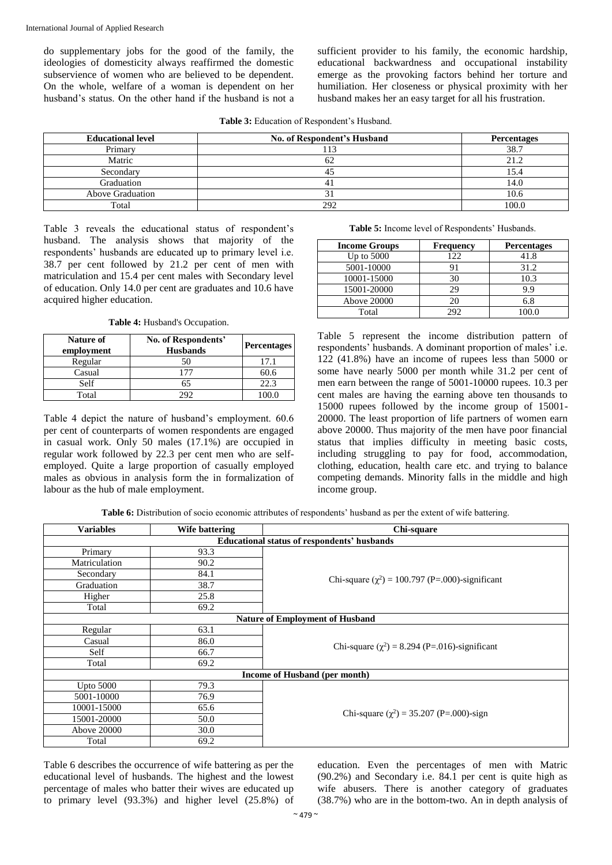do supplementary jobs for the good of the family, the ideologies of domesticity always reaffirmed the domestic subservience of women who are believed to be dependent. On the whole, welfare of a woman is dependent on her husband's status. On the other hand if the husband is not a

sufficient provider to his family, the economic hardship, educational backwardness and occupational instability emerge as the provoking factors behind her torture and humiliation. Her closeness or physical proximity with her husband makes her an easy target for all his frustration.

**Table 3:** Education of Respondent's Husband.

| <b>Educational level</b> | No. of Respondent's Husband | <b>Percentages</b> |
|--------------------------|-----------------------------|--------------------|
| Primary                  | 11.                         | 38.7               |
| Matric                   | σZ                          | 21.2               |
| Secondary                |                             |                    |
| Graduation               | 4.                          | 14.0               |
| Above Graduation         | ЭI                          | 10.6               |
| Total                    | 292                         | 100.0              |

Table 3 reveals the educational status of respondent's husband. The analysis shows that majority of the respondents' husbands are educated up to primary level i.e. 38.7 per cent followed by 21.2 per cent of men with matriculation and 15.4 per cent males with Secondary level of education. Only 14.0 per cent are graduates and 10.6 have acquired higher education.

**Table 4:** Husband's Occupation.

| Nature of<br>employment | No. of Respondents'<br><b>Husbands</b> | <b>Percentages</b> |
|-------------------------|----------------------------------------|--------------------|
| Regular                 | 50                                     | 17.1               |
| Casual                  |                                        | 60.6               |
| Self                    | 65                                     | 22.3               |
| Total                   | מפ                                     |                    |

Table 4 depict the nature of husband's employment. 60.6 per cent of counterparts of women respondents are engaged in casual work. Only 50 males (17.1%) are occupied in regular work followed by 22.3 per cent men who are selfemployed. Quite a large proportion of casually employed males as obvious in analysis form the in formalization of labour as the hub of male employment.

**Table 5:** Income level of Respondents' Husbands.

| <b>Income Groups</b> | <b>Frequency</b> | <b>Percentages</b> |
|----------------------|------------------|--------------------|
| Up to $5000$         | 122              | 41.8               |
| 5001-10000           | 91               | 31.2               |
| 10001-15000          | 30               | 10.3               |
| 15001-20000          | 29               | 9.9                |
| Above 20000          | 20               | 6.8                |
| Total                | 292              |                    |

Table 5 represent the income distribution pattern of respondents' husbands. A dominant proportion of males' i.e. 122 (41.8%) have an income of rupees less than 5000 or some have nearly 5000 per month while 31.2 per cent of men earn between the range of 5001-10000 rupees. 10.3 per cent males are having the earning above ten thousands to 15000 rupees followed by the income group of 15001- 20000. The least proportion of life partners of women earn above 20000. Thus majority of the men have poor financial status that implies difficulty in meeting basic costs, including struggling to pay for food, accommodation, clothing, education, health care etc. and trying to balance competing demands. Minority falls in the middle and high income group.

**Table 6:** Distribution of socio economic attributes of respondents' husband as per the extent of wife battering.

| <b>Variables</b> | Wife battering | Chi-square                                           |  |
|------------------|----------------|------------------------------------------------------|--|
|                  |                | <b>Educational status of respondents' husbands</b>   |  |
| Primary          | 93.3           |                                                      |  |
| Matriculation    | 90.2           |                                                      |  |
| Secondary        | 84.1           |                                                      |  |
| Graduation       | 38.7           | Chi-square $(\chi^2)$ = 100.797 (P=.000)-significant |  |
| Higher           | 25.8           |                                                      |  |
| Total            | 69.2           |                                                      |  |
|                  |                | <b>Nature of Employment of Husband</b>               |  |
| Regular          | 63.1           |                                                      |  |
| Casual           | 86.0           |                                                      |  |
| Self             | 66.7           | Chi-square $(\chi^2)$ = 8.294 (P=.016)-significant   |  |
| Total            | 69.2           |                                                      |  |
|                  |                | Income of Husband (per month)                        |  |
| Upto $5000$      | 79.3           |                                                      |  |
| 5001-10000       | 76.9           |                                                      |  |
| 10001-15000      | 65.6           |                                                      |  |
| 15001-20000      | 50.0           | Chi-square $(\chi^2)$ = 35.207 (P=.000)-sign         |  |
| Above 20000      | 30.0           |                                                      |  |
| Total            | 69.2           |                                                      |  |

Table 6 describes the occurrence of wife battering as per the educational level of husbands. The highest and the lowest percentage of males who batter their wives are educated up to primary level (93.3%) and higher level (25.8%) of

education. Even the percentages of men with Matric (90.2%) and Secondary i.e. 84.1 per cent is quite high as wife abusers. There is another category of graduates (38.7%) who are in the bottom-two. An in depth analysis of